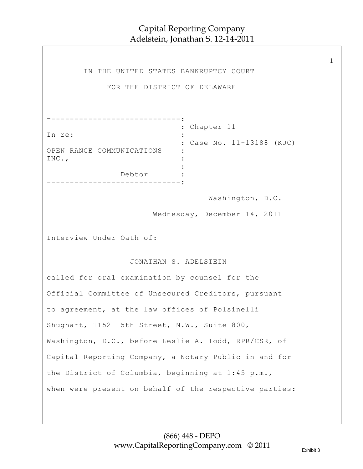| IN THE UNITED STATES BANKRUPTCY COURT                  |                              |
|--------------------------------------------------------|------------------------------|
| FOR THE DISTRICT OF DELAWARE                           |                              |
|                                                        |                              |
|                                                        | Chapter 11                   |
| In re:                                                 | : Case No. 11-13188 (KJC)    |
| OPEN RANGE COMMUNICATIONS<br>INC.,                     |                              |
| Debtor                                                 |                              |
|                                                        | Washington, D.C.             |
|                                                        | Wednesday, December 14, 2011 |
| Interview Under Oath of:                               |                              |
| JONATHAN S. ADELSTEIN                                  |                              |
| called for oral examination by counsel for the         |                              |
| Official Committee of Unsecured Creditors, pursuant    |                              |
| to agreement, at the law offices of Polsinelli         |                              |
| Shughart, 1152 15th Street, N.W., Suite 800,           |                              |
| Washington, D.C., before Leslie A. Todd, RPR/CSR, of   |                              |
| Capital Reporting Company, a Notary Public in and for  |                              |
| the District of Columbia, beginning at 1:45 p.m.,      |                              |
| when were present on behalf of the respective parties: |                              |

1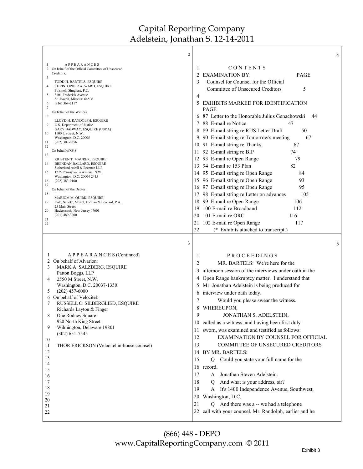| 2                                                                           |                                                                                                             |
|-----------------------------------------------------------------------------|-------------------------------------------------------------------------------------------------------------|
| APPEARANCES<br>-1                                                           | CONTENTS<br>1                                                                                               |
| 2 On behalf of the Official Committee of Unsecured<br>Creditors:            | <b>EXAMINATION BY:</b><br>$2^{\circ}$<br><b>PAGE</b>                                                        |
| 3<br>TODD H. BARTELS, ESQUIRE                                               | 3<br>Counsel for Counsel for the Official                                                                   |
| $\overline{4}$<br>CHRISTOPHER A. WARD, ESQUIRE<br>Polsinelli Shughart, P.C. | Committee of Unsecured Creditors<br>5                                                                       |
| 5<br>3101 Frederick Avenue                                                  | 4                                                                                                           |
| St. Joseph, Missouri 64506<br>$(816)$ 364-2117<br>6                         | 5 EXHIBITS MARKED FOR IDENTIFICATION                                                                        |
| 7<br>On behalf of the Witness:                                              | <b>PAGE</b>                                                                                                 |
| 8                                                                           | 6 87 Letter to the Honorable Julius Genachowski<br>44                                                       |
| LLOYD H. RANDOLPH, ESQUIRE<br>9<br>U.S. Department of Justice               | 7 88 E-mail re Notice<br>47                                                                                 |
| GARY BADWAY, ESQUIRE (USDA)<br>10<br>1100 L Street, N.W.                    | 50<br>8 89 E-mail string re RUS Letter Draft                                                                |
| Washington, D.C. 20005<br>$(202)$ 307-0356<br>11                            | 9 90 E-mail string re Tomorrow's meeting<br>67                                                              |
| 12                                                                          | 10 91 E-mail string re Thanks<br>67                                                                         |
| On behalf of G4S:<br>13                                                     | 11 92 E-mail string re BIP<br>74                                                                            |
| KRISTEN T. MAURER, ESQUIRE<br>14<br>BRENDAN BALLARD, ESQUIRE                | 12 93 E-mail re Open Range<br>79                                                                            |
| Sutherland Asbill & Brennan LLP                                             | 13 94 E-mail re 153 Plan<br>82                                                                              |
| 15<br>1275 Pennsylvania Avenue, N.W.<br>Washington, D.C. 20004-2415         | 14 95 E-mail string re Open Range<br>84                                                                     |
| $(202)$ 383-0100<br>16<br>17                                                | 15 96 E-mail string re Open Range<br>93                                                                     |
| On behalf of the Debtor:                                                    | 16 97 E-mail string re Open Range<br>95                                                                     |
| 18<br>MARIOM M. QUIRK, ESQUIRE                                              | 17 98 E-mail string re Letter on advances<br>105                                                            |
| 19<br>Cole, Schotz, Meisel, Forman & Leonard, P.A.<br>25 Main Street        | 18 99 E-mail re Open Range<br>106                                                                           |
| 20<br>Hackensack, New Jersey 07601<br>$(201)$ 489-3000                      | 19 100 E-mail re Broadband<br>112                                                                           |
| 21                                                                          | 20 101 E-mail re ORC<br>116                                                                                 |
| 22                                                                          | 21 102 E-mail re Open Range<br>117<br>22<br>(* Exhibits attached to transcript.)                            |
|                                                                             |                                                                                                             |
|                                                                             |                                                                                                             |
| 3                                                                           |                                                                                                             |
| 1                                                                           |                                                                                                             |
| APPEARANCES (Continued)<br>On behalf of Alvarion:<br>2                      | PROCEEDINGS<br>1                                                                                            |
| 3<br>MARK A. SALZBERG, ESQUIRE                                              | MR. BARTELS: We're here for the<br>2                                                                        |
| Patton Boggs, LLP                                                           | afternoon session of the interviews under oath in the<br>3                                                  |
| 2550 M Street, N.W.<br>4                                                    | Open Range bankruptcy matter. I understand that<br>4                                                        |
| Washington, D.C. 20037-1350<br>$(202)$ 457-6000<br>5                        | 5 Mr. Jonathan Adelstein is being produced for                                                              |
| On behalf of Velocitel:<br>6                                                | interview under oath today.<br>6                                                                            |
| 7<br>RUSSELL C. SILBERGLIED, ESQUIRE                                        | Would you please swear the witness.<br>7                                                                    |
| Richards Layton & Finger                                                    | WHEREUPON,<br>8<br>9                                                                                        |
| 8<br>One Rodney Square<br>920 North King Street                             | JONATHAN S. ADELSTEIN,                                                                                      |
| 9<br>Wilmington, Delaware 19801                                             | 10 called as a witness, and having been first duly                                                          |
| $(302) 651 - 7545$                                                          | 11 sworn, was examined and testified as follows:                                                            |
| 10                                                                          | EXAMINATION BY COUNSEL FOR OFFICIAL<br>12                                                                   |
| THOR ERICKSON (Velocitel in-house counsel)<br>11                            | 13<br>COMMITTEE OF UNSECURED CREDITORS                                                                      |
| 12<br>13                                                                    | BY MR. BARTELS:<br>14                                                                                       |
| 14                                                                          | 15<br>Q Could you state your full name for the                                                              |
| 15                                                                          | 16 record.                                                                                                  |
| 16                                                                          | 17<br>A Jonathan Steven Adelstein.                                                                          |
| 17<br>18                                                                    | Q And what is your address, sir?<br>18                                                                      |
| 19                                                                          | 19<br>A It's 1400 Independence Avenue, Southwest,                                                           |
| 20                                                                          | Washington, D.C.<br>20                                                                                      |
| 21<br>22                                                                    | Q And there was a -- we had a telephone<br>21<br>call with your counsel, Mr. Randolph, earlier and he<br>22 |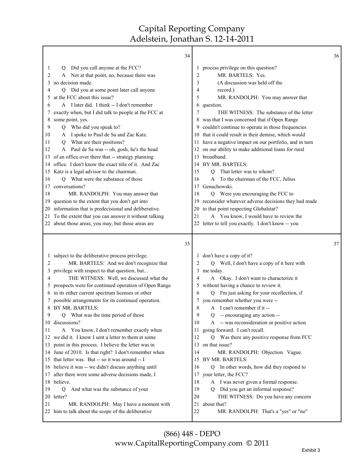|    | 34                                                      |             |                                                         | 36 |
|----|---------------------------------------------------------|-------------|---------------------------------------------------------|----|
| 1  | Did you call anyone at the FCC?<br>Q                    | $\perp$     | process privilege on this question?                     |    |
| 2  | A Not at that point, no, because there was              | 2           | MR. BARTELS: Yes.                                       |    |
| 3  | no decision made.                                       | 3           | (A discussion was held off the                          |    |
| 4  | Q Did you at some point later call anyone               | 4           | record.)                                                |    |
| 5  | at the FCC about this issue?                            | 5           | MR. RANDOLPH: You may answer that                       |    |
| 6  | A I later did. I think -- I don't remember              | 6           | question.                                               |    |
| 7  | exactly when, but I did talk to people at the FCC at    | 7           | THE WITNESS: The substance of the letter                |    |
| 8  | some point, yes.                                        | 8           | was that I was concerned that if Open Range             |    |
| 9  | Q Who did you speak to?                                 | 9.          | couldn't continue to operate in those frequencies       |    |
| 10 | A I spoke to Paul de Sa and Zac Katz.                   | 10          | that it could result in their demise, which would       |    |
| 11 | Q What are their positions?                             |             | 11 have a negative impact on our portfolio, and in turn |    |
| 12 | A Paul de Sa was -- oh, gosh, he's the head             |             | 12 on our ability to make additional loans for rural    |    |
|    | 13 of an office over there that -- strategy planning    | 13          | broadband.                                              |    |
|    | 14 office. I don't know the exact title of it. And Zac  | 14          | BY MR. BARTELS:                                         |    |
|    | 15 Katz is a legal advisor to the chairman.             | 15          | That letter was to whom?<br>O                           |    |
| 16 | Q What were the substance of those                      | 16          | To the chairman of the FCC, Julius<br>A                 |    |
| 17 | conversations?                                          | 17          | Genachowski.                                            |    |
| 18 | MR. RANDOLPH: You may answer that                       | 18          | Q Were you encouraging the FCC to                       |    |
|    | 19 question to the extent that you don't get into       |             | 19 reconsider whatever adverse decisions they had made  |    |
|    | 20 information that is predecisional and deliberative.  | 20          | to that point respecting Globalstar?                    |    |
|    | 21 To the extent that you can answer it without talking | 21          | A You know, I would have to review the                  |    |
|    | 22 about those areas, you may, but those areas are      |             | 22 letter to tell you exactly. I don't know -- you      |    |
|    |                                                         |             |                                                         |    |
|    | 35                                                      |             |                                                         | 37 |
|    | subject to the deliberative process privilege.          |             | don't have a copy of it?                                |    |
| 2  | MR. BARTELS: And we don't recognize that                | 2           | Q Well, I don't have a copy of it here with             |    |
| 3  | privilege with respect to that question, but            |             | 3 me today.                                             |    |
| 4  | THE WITNESS: Well, we discussed what the                | 4           | A Okay. I don't want to characterize it                 |    |
|    | prospects were for continued operation of Open Range    | 5.          | without having a chance to review it.                   |    |
|    | 6 in its either current spectrum licenses or other      | 6           | I'm just asking for your recollection, if<br>Q          |    |
|    | 7 possible arrangements for its continued operation.    |             | 7 you remember whether you were --                      |    |
|    | 8 BY MR. BARTELS:                                       | 8           | A I can't remember if it --                             |    |
| Q  | Q What was the time period of those                     | $\mathbf Q$ | Q -- encouraging any action --                          |    |
|    | 10 discussions?                                         | 10          | A -- was reconsideration or positive action             |    |
| 11 | A You know, I don't remember exactly when               |             | 11 going forward. I can't recall.                       |    |
|    | 12 we did it. I know I sent a letter to them at some    | 12          | Q Was there any positive response from FCC              |    |
|    | 13 point in this process. I believe the letter was in   | 13          | on that issue?                                          |    |
|    | 14 June of 2010. Is that right? I don't remember when   | 14          | MR. RANDOLPH: Objection. Vague.                         |    |
|    | 15 that letter was. But -- so it was around -- I        | 15          | BY MR. BARTELS:                                         |    |
|    | 16 believe it was -- we didn't discuss anything until   | 16          | Q In other words, how did they respond to               |    |
|    |                                                         |             | 17 your letter, the FCC?                                |    |
|    | 17 after there were some adverse decisions made, I      |             |                                                         |    |
|    | 18 believe.                                             | 18          | A I was never given a formal response.                  |    |
| 19 | And what was the substance of your<br>Q                 | 19          | Q Did you get an informal response?                     |    |
|    | 20 letter?                                              | 20          | THE WITNESS: Do you have any concern                    |    |
| 21 | MR. RANDOLPH: May I have a moment with                  | 21          | about that?                                             |    |
|    | 22 him to talk about the scope of the deliberative      | 22          | MR. RANDOLPH: That's a "yes" or "no"                    |    |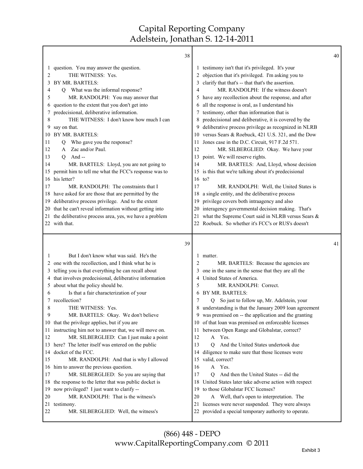|          | 38                                                                              |        |                                                                                        | 40 |
|----------|---------------------------------------------------------------------------------|--------|----------------------------------------------------------------------------------------|----|
|          | question. You may answer the question.                                          |        | 1 testimony isn't that it's privileged. It's your                                      |    |
| 2        | THE WITNESS: Yes.                                                               |        | 2 objection that it's privileged. I'm asking you to                                    |    |
| 3        | BY MR. BARTELS:                                                                 | 3      | clarify that that's -- that that's the assertion.                                      |    |
| 4        | Q What was the informal response?                                               | 4      | MR. RANDOLPH: If the witness doesn't                                                   |    |
| 5        | MR. RANDOLPH: You may answer that                                               |        | 5 have any recollection about the response, and after                                  |    |
| 6        | question to the extent that you don't get into                                  | 6      | all the response is oral, as I understand his                                          |    |
|          | predecisional, deliberative information.                                        |        | testimony, other than information that is                                              |    |
| 8        | THE WITNESS: I don't know how much I can                                        |        | predecisional and deliberative, it is covered by the                                   |    |
| 9        | say on that.                                                                    | 9      | deliberative process privilege as recognized in NLRB                                   |    |
| 10       | BY MR. BARTELS:                                                                 |        | 10 versus Sears & Roebuck, 421 U.S. 321, and the Dow                                   |    |
| 11       | Who gave you the response?<br>О                                                 | 11     | Jones case in the D.C. Circuit, 917 F.2d 571.                                          |    |
| 12       | A Zac and/or Paul.                                                              | 12     | MR. SILBERGLIED: Okay. We have your                                                    |    |
| 13       | $Q$ And --                                                                      | 13     | point. We will reserve rights.                                                         |    |
| 14       | MR. BARTELS: Lloyd, you are not going to                                        | 14     | MR. BARTELS: And, Lloyd, whose decision                                                |    |
| 15       | permit him to tell me what the FCC's response was to                            |        | 15 is this that we're talking about it's predecisional                                 |    |
|          | 16 his letter?                                                                  |        | $16 \text{ to?}$                                                                       |    |
| 17       | MR. RANDOLPH: The constraints that I                                            | 17     | MR. RANDOLPH: Well, the United States is                                               |    |
|          | 18 have asked for are those that are permitted by the                           | 18     | a single entity, and the deliberative process                                          |    |
|          | 19 deliberative process privilege. And to the extent                            | 19     | privilege covers both intraagency and also                                             |    |
|          | 20 that he can't reveal information without getting into                        | 20     | interagency governmental decision making. That's                                       |    |
|          | 21 the deliberative process area, yes, we have a problem                        | 21     | what the Supreme Court said in NLRB versus Sears &                                     |    |
|          | 22 with that.                                                                   | 22     | Roebuck. So whether it's FCC's or RUS's doesn't                                        |    |
|          | 39                                                                              |        |                                                                                        | 41 |
| 1        | But I don't know what was said. He's the                                        |        | 1 matter.                                                                              |    |
|          | 2 one with the recollection, and I think what he is                             |        |                                                                                        |    |
|          |                                                                                 |        |                                                                                        |    |
|          |                                                                                 | 2      | MR. BARTELS: Because the agencies are                                                  |    |
| 3        | telling you is that everything he can recall about                              |        | one in the same in the sense that they are all the                                     |    |
|          | that involves predecisional, deliberative information                           | 4      | United States of America.                                                              |    |
| 5<br>6   | about what the policy should be.                                                | 5<br>6 | MR. RANDOLPH: Correct.                                                                 |    |
| 7        | Is that a fair characterization of your                                         | 7      | BY MR. BARTELS:                                                                        |    |
| 8        | recollection?<br>THE WITNESS: Yes.                                              |        | So just to follow up, Mr. Adelstein, your<br>Q                                         |    |
| 9        |                                                                                 |        | understanding is that the January 2009 loan agreement                                  |    |
|          | MR. BARTELS: Okay. We don't believe                                             | 10     | 9 was premised on -- the application and the granting                                  |    |
|          | 10 that the privilege applies, but if you are                                   | 11     | of that loan was premised on enforceable licenses                                      |    |
| 11<br>12 | instructing him not to answer that, we will move on.                            | 12     | between Open Range and Globalstar, correct?<br>A Yes.                                  |    |
|          | MR. SILBERGLIED: Can I just make a point                                        | 13     | O                                                                                      |    |
| 14       | 13 here? The letter itself was entered on the public<br>docket of the FCC.      | 14     | And the United States undertook due<br>diligence to make sure that those licenses were |    |
| 15       |                                                                                 | 15     | valid, correct?                                                                        |    |
| 16       | MR. RANDOLPH: And that is why I allowed<br>him to answer the previous question. | 16     | A Yes.                                                                                 |    |
| 17       | MR. SILBERGLIED: So you are saying that                                         | 17     | And then the United States -- did the<br>Q                                             |    |
| 18       | the response to the letter that was public docket is                            | 18     | United States later take adverse action with respect                                   |    |
| 19       | now privileged? I just want to clarify --                                       |        | 19 to those Globalstar FCC licenses?                                                   |    |
| 20       | MR. RANDOLPH: That is the witness's                                             | 20     | A Well, that's open to interpretation. The                                             |    |
| 21       | testimony.                                                                      | 21     | licenses were never suspended. They were always                                        |    |
| 22       | MR. SILBERGLIED: Well, the witness's                                            | 22     | provided a special temporary authority to operate.                                     |    |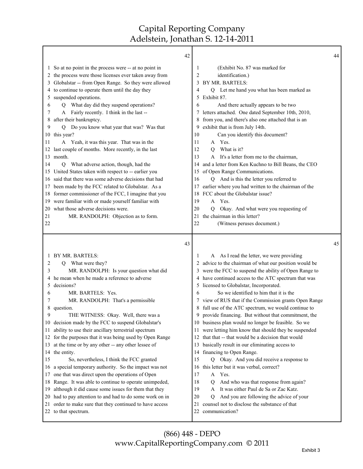| 42                                                                                                                                                                                                                                                                                                                                                                                                                                                                                                                                                                                                                                                                                                                                                                                                                                                                                                                                                                                                                                              | 44                                                                                                                                                                                                                                                                                                                                                                                                                                                                                                                                                                                                                                                                                                                                                                                                                                                                                                                                                                                                                                                                                                                                                         |
|-------------------------------------------------------------------------------------------------------------------------------------------------------------------------------------------------------------------------------------------------------------------------------------------------------------------------------------------------------------------------------------------------------------------------------------------------------------------------------------------------------------------------------------------------------------------------------------------------------------------------------------------------------------------------------------------------------------------------------------------------------------------------------------------------------------------------------------------------------------------------------------------------------------------------------------------------------------------------------------------------------------------------------------------------|------------------------------------------------------------------------------------------------------------------------------------------------------------------------------------------------------------------------------------------------------------------------------------------------------------------------------------------------------------------------------------------------------------------------------------------------------------------------------------------------------------------------------------------------------------------------------------------------------------------------------------------------------------------------------------------------------------------------------------------------------------------------------------------------------------------------------------------------------------------------------------------------------------------------------------------------------------------------------------------------------------------------------------------------------------------------------------------------------------------------------------------------------------|
| 1 So at no point in the process were -- at no point in<br>the process were those licenses ever taken away from<br>2<br>Globalstar -- from Open Range. So they were allowed<br>3<br>to continue to operate them until the day they<br>4<br>suspended operations.<br>5<br>Q What day did they suspend operations?<br>6<br>A Fairly recently. I think in the last --<br>7<br>after their bankruptcy.<br>8<br>Q Do you know what year that was? Was that<br>9<br>10 this year?<br>A Yeah, it was this year. That was in the<br>11<br>12 last couple of months. More recently, in the last<br>month.<br>13<br>Q What adverse action, though, had the<br>14<br>15 United States taken with respect to -- earlier you<br>16 said that there was some adverse decisions that had<br>17 been made by the FCC related to Globalstar. As a<br>18 former commissioner of the FCC, I imagine that you<br>19 were familiar with or made yourself familiar with<br>what those adverse decisions were.<br>20<br>21<br>MR. RANDOLPH: Objection as to form.<br>22 | (Exhibit No. 87 was marked for<br>1<br>identification.)<br>2<br>BY MR. BARTELS:<br>3<br>Q Let me hand you what has been marked as<br>4<br>Exhibit 87.<br>5<br>And there actually appears to be two<br>6<br>7 letters attached. One dated September 10th, 2010,<br>from you, and there's also one attached that is an<br>8<br>exhibit that is from July 14th.<br>9<br>Can you identify this document?<br>10<br>A Yes.<br>11<br>What is it?<br>12<br>O<br>A It's a letter from me to the chairman,<br>13<br>and a letter from Ken Kuchno to Bill Beans, the CEO<br>14<br>of Open Range Communications.<br>15<br>16<br>Q And is this the letter you referred to<br>earlier where you had written to the chairman of the<br>17<br>FCC about the Globalstar issue?<br>18<br>19<br>Yes.<br>A<br>20<br>Okay. And what were you requesting of<br>O.<br>the chairman in this letter?<br>21<br>22<br>(Witness peruses document.)                                                                                                                                                                                                                                     |
| 43                                                                                                                                                                                                                                                                                                                                                                                                                                                                                                                                                                                                                                                                                                                                                                                                                                                                                                                                                                                                                                              | 45                                                                                                                                                                                                                                                                                                                                                                                                                                                                                                                                                                                                                                                                                                                                                                                                                                                                                                                                                                                                                                                                                                                                                         |
| 1 BY MR. BARTELS:<br>Q What were they?<br>2<br>MR. RANDOLPH: Is your question what did<br>3<br>he mean when he made a reference to adverse<br>4<br>decisions?<br>5<br>MR. BARTELS: Yes.<br>6<br>MR. RANDOLPH: That's a permissible<br>7<br>8<br>question.<br>THE WITNESS: Okay. Well, there was a<br>9<br>10 decision made by the FCC to suspend Globalstar's<br>ability to use their ancillary terrestrial spectrum<br>11.<br>12 for the purposes that it was being used by Open Range<br>at the time or by any other -- any other lessee of<br>13<br>the entity.<br>14<br>So, nevertheless, I think the FCC granted<br>15<br>a special temporary authority. So the impact was not<br>16<br>one that was direct upon the operations of Open<br>17<br>18 Range. It was able to continue to operate unimpeded,<br>although it did cause some issues for them that they<br>19<br>had to pay attention to and had to do some work on in<br>20<br>order to make sure that they continued to have access<br>21<br>22 to that spectrum.               | A As I read the letter, we were providing<br>$\mathbf{I}$<br>2 advice to the chairman of what our position would be<br>3 were the FCC to suspend the ability of Open Range to<br>4 have continued access to the ATC spectrum that was<br>licensed to Globalstar, Incorporated.<br>5<br>So we identified to him that it is the<br>6<br>7 view of RUS that if the Commission grants Open Range<br>8 full use of the ATC spectrum, we would continue to<br>provide financing. But without that commitment, the<br>9<br>10 business plan would no longer be feasible. So we<br>were letting him know that should they be suspended<br>11.<br>that that -- that would be a decision that would<br>12<br>basically result in our eliminating access to<br>13<br>financing to Open Range.<br>14<br>Q Okay. And you did receive a response to<br>15<br>this letter but it was verbal, correct?<br>16<br>17<br>A Yes.<br>18<br>And who was that response from again?<br>Q<br>It was either Paul de Sa or Zac Katz.<br>19<br>A<br>And you are following the advice of your<br>20<br>0<br>counsel not to disclose the substance of that<br>21<br>communication?<br>22 |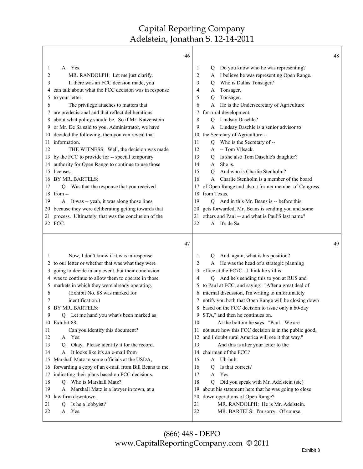Τ

|                                                                                                                                                                                                                                                                                                                                                                                                                                                                                                                                                                                                                                                                                                                                                                                                                                                                                                                                                  | 46                                                                                                                                                                                                                                                                                                                                                                                                                                                                                                                                                                                                                                                                                                                                                                                                                                                                                                                                                                                                                                                    | 48 |
|--------------------------------------------------------------------------------------------------------------------------------------------------------------------------------------------------------------------------------------------------------------------------------------------------------------------------------------------------------------------------------------------------------------------------------------------------------------------------------------------------------------------------------------------------------------------------------------------------------------------------------------------------------------------------------------------------------------------------------------------------------------------------------------------------------------------------------------------------------------------------------------------------------------------------------------------------|-------------------------------------------------------------------------------------------------------------------------------------------------------------------------------------------------------------------------------------------------------------------------------------------------------------------------------------------------------------------------------------------------------------------------------------------------------------------------------------------------------------------------------------------------------------------------------------------------------------------------------------------------------------------------------------------------------------------------------------------------------------------------------------------------------------------------------------------------------------------------------------------------------------------------------------------------------------------------------------------------------------------------------------------------------|----|
| A Yes.<br>1<br>2<br>MR. RANDOLPH: Let me just clarify.<br>If there was an FCC decision made, you<br>3<br>can talk about what the FCC decision was in response<br>4<br>to your letter.<br>5<br>The privilege attaches to matters that<br>6<br>are predecisional and that reflect deliberations<br>7.<br>8 about what policy should be. So if Mr. Katzenstein<br>or Mr. De Sa said to you, Administrator, we have<br>9.<br>10 decided the following, then you can reveal that<br>11 information.<br>12<br>THE WITNESS: Well, the decision was made<br>13 by the FCC to provide for -- special temporary<br>14 authority for Open Range to continue to use those<br>15 licenses.<br>16 BY MR. BARTELS:<br>Was that the response that you received<br>17<br>Q.<br>18 from --<br>A It was -- yeah, it was along those lines<br>19<br>20 because they were deliberating getting towards that<br>21 process. Ultimately, that was the conclusion of the | Do you know who he was representing?<br>1<br>Q<br>I believe he was representing Open Range.<br>2<br>A<br>Who is Dallas Tonsager?<br>3<br>Q<br>Tonsager.<br>4<br>A<br>5<br>Tonsager.<br>Q<br>A He is the Undersecretary of Agriculture<br>6<br>7 for rural development.<br>Lindsay Daschle?<br>8<br>Q<br>9<br>A Lindsay Daschle is a senior advisor to<br>10 the Secretary of Agriculture --<br>Q Who is the Secretary of --<br>11<br>A -- Tom Vilsack.<br>12<br>Is she also Tom Daschle's daughter?<br>13<br>Q<br>She is.<br>14<br>A<br>And who is Charlie Stenholm?<br>15<br>O<br>Charlie Stenholm is a member of the board<br>16<br>A<br>of Open Range and also a former member of Congress<br>17<br>18 from Texas.<br>And in this Mr. Beans is -- before this<br>19<br>0<br>gets forwarded, Mr. Beans is sending you and some<br>20<br>others and Paul -- and what is Paul'S last name?<br>21                                                                                                                                                      |    |
| 22 FCC.                                                                                                                                                                                                                                                                                                                                                                                                                                                                                                                                                                                                                                                                                                                                                                                                                                                                                                                                          | 22<br>A It's de Sa.                                                                                                                                                                                                                                                                                                                                                                                                                                                                                                                                                                                                                                                                                                                                                                                                                                                                                                                                                                                                                                   |    |
|                                                                                                                                                                                                                                                                                                                                                                                                                                                                                                                                                                                                                                                                                                                                                                                                                                                                                                                                                  | 47                                                                                                                                                                                                                                                                                                                                                                                                                                                                                                                                                                                                                                                                                                                                                                                                                                                                                                                                                                                                                                                    | 49 |
| Now, I don't know if it was in response<br>1<br>2 to our letter or whether that was what they were<br>3 going to decide in any event, but their conclusion<br>4 was to continue to allow them to operate in those<br>5 markets in which they were already operating.<br>(Exhibit No. 88 was marked for<br>6<br>identification.)<br>8 BY MR. BARTELS:<br>9<br>Q Let me hand you what's been marked as<br>10 Exhibit 88.<br>11<br>Can you identify this document?<br>12<br>A Yes.<br>13<br>Okay. Please identify it for the record.<br>O.<br>It looks like it's an e-mail from<br>14<br>A<br>15 Marshall Matz to some officials at the USDA,<br>16 forwarding a copy of an e-mail from Bill Beans to me<br>17 indicating their plans based on FCC decisions.<br>Q Who is Marshall Matz?<br>18<br>19<br>Marshall Matz is a lawyer in town, at a<br>A<br>law firm downtown.<br>20<br>Is he a lobbyist?<br>21<br>Q<br>Yes.<br>22<br>A                 | And, again, what is his position?<br>1<br>$\circ$<br>A He was the head of a strategic planning<br>2<br>office at the FC7C. I think he still is.<br>3<br>And he's sending this to you at RUS and<br>4<br>0<br>5 to Paul at FCC, and saying: "After a great deal of<br>6 internal discussion, I'm writing to unfortunately<br>7 notify you both that Open Range will be closing down<br>8 based on the FCC decision to issue only a 60-day<br>9 STA," and then he continues on.<br>10<br>At the bottom he says: "Paul - We are<br>11 not sure how this FCC decision is in the public good,<br>and I doubt rural America will see it that way."<br>12<br>13<br>And this is after your letter to the<br>chairman of the FCC?<br>14<br>15<br>A Uh-huh.<br>Is that correct?<br>16<br>Q<br>17<br>Yes.<br>A<br>18<br>Did you speak with Mr. Adelstein (sic)<br>Q<br>about his statement here that he was going to close<br>19<br>down operations of Open Range?<br>20<br>21<br>MR. RANDOLPH: He is Mr. Adelstein.<br>22<br>MR. BARTELS: I'm sorry. Of course. |    |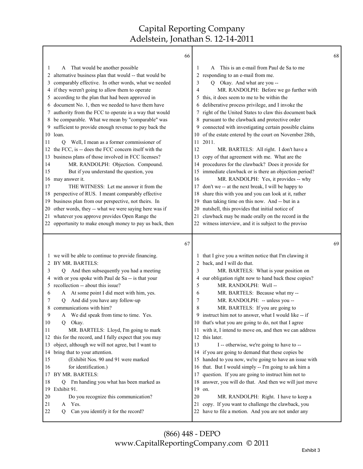|          | 66                                                    |          |                                                                                                      | 68 |
|----------|-------------------------------------------------------|----------|------------------------------------------------------------------------------------------------------|----|
| 1        | A That would be another possible                      | 1        | This is an e-mail from Paul de Sa to me<br>A                                                         |    |
| 2        | alternative business plan that would -- that would be |          | 2 responding to an e-mail from me.                                                                   |    |
| 3        | comparably effective. In other words, what we needed  | 3        | Q Okay. And what are you --                                                                          |    |
| 4        | if they weren't going to allow them to operate        | 4        | MR. RANDOLPH: Before we go further with                                                              |    |
| 5        | according to the plan that had been approved in       | 5        | this, it does seem to me to be within the                                                            |    |
| 6        | document No. 1, then we needed to have them have      | 6        | deliberative process privilege, and I invoke the                                                     |    |
| 7        | authority from the FCC to operate in a way that would | 7        | right of the United States to claw this document back                                                |    |
| 8        | be comparable. What we mean by "comparable" was       | 8        | pursuant to the clawback and protective order                                                        |    |
| 9        | sufficient to provide enough revenue to pay back the  | 9        | connected with investigating certain possible claims                                                 |    |
| 10       | loan.                                                 | 10       | of the estate entered by the court on November 28th,                                                 |    |
| 11       | Well, I mean as a former commissioner of<br>0         | 11       | 2011.                                                                                                |    |
| 12       | the FCC, is -- does the FCC concern itself with the   | 12       | MR. BARTELS: All right. I don't have a                                                               |    |
| 13       | business plans of those involved in FCC licenses?     | 13       | copy of that agreement with me. What are the                                                         |    |
| 14       | MR. RANDOLPH: Objection. Compound.                    | 14       | procedures for the clawback? Does it provide for                                                     |    |
| 15       | But if you understand the question, you               | 15       | immediate clawback or is there an objection period?                                                  |    |
| 16       | may answer it.                                        | 16       | MR. RANDOLPH: Yes, it provides -- why                                                                |    |
| 17       | THE WITNESS: Let me answer it from the                | 17       | don't we -- at the next break, I will be happy to                                                    |    |
| 18       | perspective of RUS. I meant comparably effective      | 18       | share this with you and you can look at it, rather                                                   |    |
| 19       | business plan from our perspective, not theirs. In    | 19       | than taking time on this now. And -- but in a                                                        |    |
| 20       | other words, they -- what we were saying here was if  | 20       | nutshell, this provides that initial notice of                                                       |    |
| 21       | whatever you approve provides Open Range the          | 21       | clawback may be made orally on the record in the                                                     |    |
| 22       | opportunity to make enough money to pay us back, then | 22       | witness interview, and it is subject to the proviso                                                  |    |
|          |                                                       |          |                                                                                                      |    |
|          | 67                                                    |          |                                                                                                      | 69 |
|          | 1 we will be able to continue to provide financing.   |          | 1 that I give you a written notice that I'm clawing it                                               |    |
| 2        | BY MR. BARTELS:                                       | 2        | back, and I will do that.                                                                            |    |
| 3        | Q And then subsequently you had a meeting             | 3        | MR. BARTELS: What is your position on                                                                |    |
| 4        | with or you spoke with Paul de Sa -- is that your     | 4        | our obligation right now to hand back these copies?                                                  |    |
| 5        | recollection -- about this issue?                     | 5        | MR. RANDOLPH: Well-                                                                                  |    |
| 6        | A At some point I did meet with him, yes.             | 6        | MR. BARTELS: Because what my --                                                                      |    |
| 7        | And did you have any follow-up<br>Q                   | 7        | MR. RANDOLPH: -- unless you --                                                                       |    |
| 8        | communications with him?                              | 8        | MR. BARTELS: If you are going to                                                                     |    |
| 9        | We did speak from time to time. Yes.                  |          | 9 instruct him not to answer, what I would like -- if                                                |    |
| 10       | Okay.<br>Q                                            |          | 10 that's what you are going to do, not that I agree                                                 |    |
| 11       | MR. BARTELS: Lloyd, I'm going to mark                 | 11       | with it, I intend to move on, and then we can address                                                |    |
| 12       | this for the record, and I fully expect that you may  | 12       | this later.                                                                                          |    |
| 13       | object, although we will not agree, but I want to     | 13       | I -- otherwise, we're going to have to --                                                            |    |
| 14       | bring that to your attention.                         |          | 14 if you are going to demand that these copies be                                                   |    |
| 15       | (Exhibit Nos. 90 and 91 were marked                   | 15       | handed to you now, we're going to have an issue with                                                 |    |
| 16       | for identification.)                                  | 16       | that. But I would simply -- I'm going to ask him a                                                   |    |
| 17       | BY MR. BARTELS:                                       | 17       | question. If you are going to instruct him not to                                                    |    |
| 18       | Q I'm handing you what has been marked as             | 18       | answer, you will do that. And then we will just move                                                 |    |
| 19       | Exhibit 91.                                           | 19       | on.                                                                                                  |    |
| 20       | Do you recognize this communication?                  | 20       | MR. RANDOLPH: Right. I have to keep a                                                                |    |
| 21<br>22 | Yes.<br>A<br>Can you identify it for the record?<br>Q | 21<br>22 | copy. If you want to challenge the clawback, you<br>have to file a motion. And you are not under any |    |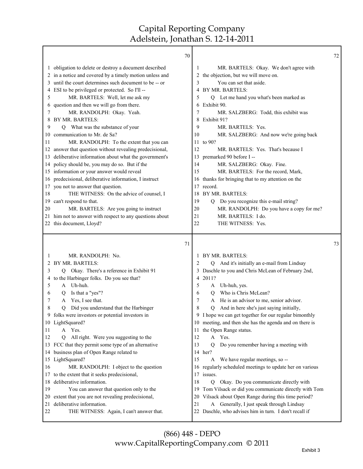|              | 70                                                                    |    |                                                                                                     | 72 |
|--------------|-----------------------------------------------------------------------|----|-----------------------------------------------------------------------------------------------------|----|
|              | 1 obligation to delete or destroy a document described                | 1  | MR. BARTELS: Okay. We don't agree with                                                              |    |
|              | 2 in a notice and covered by a timely motion unless and               |    | 2 the objection, but we will move on.                                                               |    |
| 3            | until the court determines such document to be -- or                  | 3  | You can set that aside.                                                                             |    |
| 4            | ESI to be privileged or protected. So I'll --                         |    | 4 BY MR. BARTELS:                                                                                   |    |
| 5            | MR. BARTELS: Well, let me ask my                                      | 5  | Q Let me hand you what's been marked as                                                             |    |
| 6            | question and then we will go from there.                              |    | 6 Exhibit 90.                                                                                       |    |
| 7            | MR. RANDOLPH: Okay. Yeah.                                             | 7  | MR. SALZBERG: Todd, this exhibit was                                                                |    |
| 8            | BY MR. BARTELS:                                                       | 8  | Exhibit 91?                                                                                         |    |
| 9            | Q What was the substance of your                                      | 9  | MR. BARTELS: Yes.                                                                                   |    |
| 10           | communication to Mr. de Sa?                                           | 10 | MR. SALZBERG: And now we're going back                                                              |    |
| 11           | MR. RANDOLPH: To the extent that you can                              |    | 11 to 90?                                                                                           |    |
|              | 12 answer that question without revealing predecisional,              | 12 | MR. BARTELS: Yes. That's because I                                                                  |    |
|              | 13 deliberative information about what the government's               |    | 13 premarked 90 before I --                                                                         |    |
|              | 14 policy should be, you may do so. But if the                        | 14 | MR. SALZBERG: Okay. Fine.                                                                           |    |
|              | 15 information or your answer would reveal                            | 15 | MR. BARTELS: For the record, Mark,                                                                  |    |
|              | 16 predecisional, deliberative information, I instruct                |    | 16 thanks for bringing that to my attention on the                                                  |    |
|              | 17 you not to answer that question.                                   |    | 17 record.                                                                                          |    |
| 18           | THE WITNESS: On the advice of counsel, I                              |    | 18 BY MR. BARTELS:                                                                                  |    |
| 19           | can't respond to that.                                                | 19 | Q Do you recognize this e-mail string?                                                              |    |
| 20           | MR. BARTELS: Are you going to instruct                                | 20 | MR. RANDOLPH: Do you have a copy for me?                                                            |    |
| 21           | him not to answer with respect to any questions about                 | 21 | MR. BARTELS: I do.                                                                                  |    |
|              | 22 this document, Lloyd?                                              | 22 | THE WITNESS: Yes.                                                                                   |    |
|              |                                                                       |    |                                                                                                     |    |
|              | 71                                                                    |    |                                                                                                     | 73 |
| 1            | MR. RANDOLPH: No.                                                     |    | 1 BY MR. BARTELS:                                                                                   |    |
| 2            | BY MR. BARTELS:                                                       | 2  | Q And it's initially an e-mail from Lindsay                                                         |    |
| 3            | Q Okay. There's a reference in Exhibit 91                             |    | 3 Daschle to you and Chris McLean of February 2nd,                                                  |    |
| 4            | to the Harbinger folks. Do you see that?                              |    | 4 2011?                                                                                             |    |
| 5            | A Uh-huh.                                                             | 5  | A Uh-huh, yes.                                                                                      |    |
| 6            | Q Is that a "yes"?                                                    | 6  | Who is Chris McLean?<br>Q                                                                           |    |
| 7            | A Yes, I see that.                                                    | 7  | A He is an advisor to me, senior advisor.                                                           |    |
| 8            | Q Did you understand that the Harbinger                               | 8  | And in here she's just saying initially,<br>Q                                                       |    |
|              | 9 folks were investors or potential investors in                      |    | 9 I hope we can get together for our regular bimonthly                                              |    |
|              | 10 LightSquared?                                                      |    | 10 meeting, and then she has the agenda and on there is                                             |    |
| 11           | A Yes.                                                                |    | 11 the Open Range status.                                                                           |    |
| 12           | All right. Were you suggesting to the<br>$\overline{Q}$               | 12 | A Yes.                                                                                              |    |
|              | 13 FCC that they permit some type of an alternative                   | 13 | Do you remember having a meeting with<br>0                                                          |    |
|              | 14 business plan of Open Range related to                             |    | 14 her?                                                                                             |    |
| 15           | LightSquared?                                                         | 15 | A We have regular meetings, so --                                                                   |    |
| 16           | MR. RANDOLPH: I object to the question                                | 16 | regularly scheduled meetings to update her on various                                               |    |
| 17           | to the extent that it seeks predecisional,                            |    | 17 issues.                                                                                          |    |
| 18           | deliberative information.                                             | 18 | Q Okay. Do you communicate directly with                                                            |    |
| 19           | You can answer that question only to the                              | 19 | Tom Vilsack or did you communicate directly with Tom                                                |    |
| 20           | extent that you are not revealing predecisional,                      | 20 | Vilsack about Open Range during this time period?                                                   |    |
| 21<br>$22\,$ | deliberative information.<br>THE WITNESS: Again, I can't answer that. | 21 | A Generally, I just speak through Lindsay<br>22 Daschle, who advises him in turn. I don't recall if |    |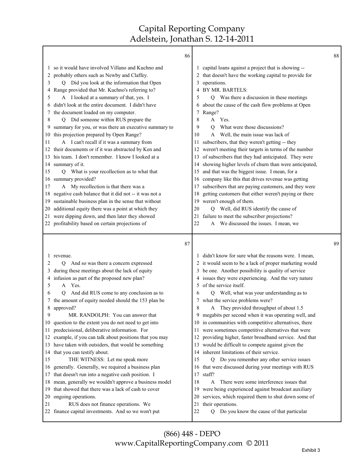Τ

|              | 86                                                                                         |          |                                                                 | 88 |
|--------------|--------------------------------------------------------------------------------------------|----------|-----------------------------------------------------------------|----|
| $\mathbf{I}$ | so it would have involved Villano and Kuchno and                                           |          | capital loans against a project that is showing --              |    |
| 2            | probably others such as Newby and Claffey.                                                 |          | 2 that doesn't have the working capital to provide for          |    |
| 3            | Q Did you look at the information that Open                                                | 3        | operations.                                                     |    |
| 4            | Range provided that Mr. Kuchno's referring to?                                             |          | BY MR. BARTELS:                                                 |    |
| 5            | A I looked at a summary of that, yes. I                                                    | 5        | Q Was there a discussion in these meetings                      |    |
| 6            | didn't look at the entire document. I didn't have                                          | 6        | about the cause of the cash flow problems at Open               |    |
| 7            | the document loaded on my computer.                                                        | 7        | Range?                                                          |    |
| 8            | Q Did someone within RUS prepare the                                                       | 8        | A Yes.                                                          |    |
| 9            | summary for you, or was there an executive summary to                                      | 9        | What were those discussions?<br>O                               |    |
|              | 10 this projection prepared by Open Range?                                                 | 10       | A Well, the main issue was lack of                              |    |
| 11           | A I can't recall if it was a summary from                                                  | 11       | subscribers, that they weren't getting -- they                  |    |
| 12           | their documents or if it was abstracted by Ken and                                         | 12       | weren't meeting their targets in terms of the number            |    |
| 13           | his team. I don't remember. I know I looked at a                                           | 13       | of subscribers that they had anticipated. They were             |    |
| 14           | summary of it.                                                                             | 14       | showing higher levels of churn than were anticipated,           |    |
| 15           | Q What is your recollection as to what that                                                | 15       | and that was the biggest issue. I mean, for a                   |    |
| 16           | summary provided?                                                                          | 16       | company like this that drives revenue was getting               |    |
| 17           | A My recollection is that there was a                                                      | 17       | subscribers that are paying customers, and they were            |    |
| 18           | negative cash balance that it did not -- it was not a                                      | 18       | getting customers that either weren't paying or there           |    |
| 19           | sustainable business plan in the sense that without                                        | 19       | weren't enough of them.                                         |    |
|              | 20 additional equity there was a point at which they                                       | 20       | Q Well, did RUS identify the cause of                           |    |
|              | 21 were dipping down, and then later they showed                                           | 21       | failure to meet the subscriber projections?                     |    |
|              | 22 profitability based on certain projections of                                           | 22       | A We discussed the issues. I mean, we                           |    |
|              |                                                                                            |          |                                                                 |    |
|              | 87                                                                                         |          |                                                                 | 89 |
| $\mathbf{I}$ | revenue.                                                                                   |          | didn't know for sure what the reasons were. I mean,             |    |
| 2            | And so was there a concern expressed<br>O                                                  |          | 2 it would seem to be a lack of proper marketing would          |    |
| 3            | during these meetings about the lack of equity                                             |          | 3 be one. Another possibility is quality of service             |    |
| 4            | infusion as part of the proposed new plan?                                                 |          | 4 issues they were experiencing. And the very nature            |    |
| 5            | A Yes.                                                                                     |          | 5 of the service itself.                                        |    |
| 6            | And did RUS come to any conclusion as to<br>Q                                              | 6        | Q Well, what was your understanding as to                       |    |
| 7            | the amount of equity needed should the 153 plan be                                         |          | 7 what the service problems were?                               |    |
| 8            | approved?                                                                                  | 8        | A They provided throughput of about 1.5                         |    |
| 9            | MR. RANDOLPH: You can answer that                                                          |          | megabits per second when it was operating well, and             |    |
|              | 10 question to the extent you do not need to get into                                      |          | 10 in communities with competitive alternatives, there          |    |
| 11.          | predecisional, deliberative information. For                                               |          | 11 were sometimes competitive alternatives that were            |    |
|              | 12 example, if you can talk about positions that you may                                   | 12       | providing higher, faster broadband service. And that            |    |
|              | 13 have taken with outsiders, that would be something                                      | 13       | would be difficult to compete against given the                 |    |
| 14           | that you can testify about.                                                                |          | 14 inherent limitations of their service.                       |    |
| 15           | THE WITNESS: Let me speak more                                                             | 15       | Do you remember any other service issues<br>Q                   |    |
| 16           | generally. Generally, we required a business plan                                          | 16       | that were discussed during your meetings with RUS               |    |
| 17           | that doesn't run into a negative cash position. I                                          | 17       | staff?                                                          |    |
| 18           | mean, generally we wouldn't approve a business model                                       | 18       | There were some interference issues that<br>A                   |    |
| 19           | that showed that there was a lack of cash to cover                                         | 19       | were being experienced against broadcast auxiliary              |    |
| 20           | ongoing operations.                                                                        | 20       | services, which required them to shut down some of              |    |
| 21           | RUS does not finance operations. We<br>22 finance capital investments. And so we won't put | 21<br>22 | their operations.<br>Q Do you know the cause of that particular |    |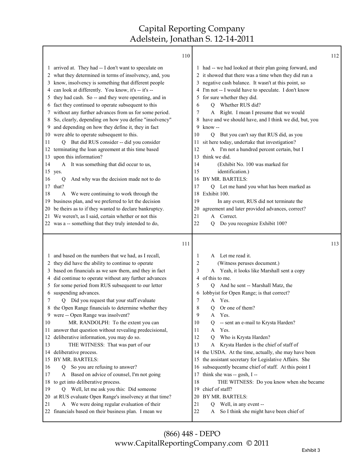|                                  | 110                                                                                                                                                                                                                                                                                                                                                                                                                                                                                                                                                                                                                                                                                                                                                                                                                                                                                                                                                                                                      |                                                                              |                                                                                                                                                                                                                                                                                                                                                                                                                                                                                                                                                                                                                                                                                                                                                                                                                     | 112 |
|----------------------------------|----------------------------------------------------------------------------------------------------------------------------------------------------------------------------------------------------------------------------------------------------------------------------------------------------------------------------------------------------------------------------------------------------------------------------------------------------------------------------------------------------------------------------------------------------------------------------------------------------------------------------------------------------------------------------------------------------------------------------------------------------------------------------------------------------------------------------------------------------------------------------------------------------------------------------------------------------------------------------------------------------------|------------------------------------------------------------------------------|---------------------------------------------------------------------------------------------------------------------------------------------------------------------------------------------------------------------------------------------------------------------------------------------------------------------------------------------------------------------------------------------------------------------------------------------------------------------------------------------------------------------------------------------------------------------------------------------------------------------------------------------------------------------------------------------------------------------------------------------------------------------------------------------------------------------|-----|
|                                  |                                                                                                                                                                                                                                                                                                                                                                                                                                                                                                                                                                                                                                                                                                                                                                                                                                                                                                                                                                                                          |                                                                              |                                                                                                                                                                                                                                                                                                                                                                                                                                                                                                                                                                                                                                                                                                                                                                                                                     |     |
| 9.<br>11<br>14<br>16<br>17<br>18 | 1 arrived at. They had -- I don't want to speculate on<br>2 what they determined in terms of insolvency, and, you<br>3 know, insolvency is something that different people<br>4 can look at differently. You know, it's -- it's --<br>5 they had cash. So -- and they were operating, and in<br>6 fact they continued to operate subsequent to this<br>7 without any further advances from us for some period.<br>8 So, clearly, depending on how you define "insolvency"<br>and depending on how they define it, they in fact<br>10 were able to operate subsequent to this.<br>But did RUS consider -- did you consider<br>Q<br>12 terminating the loan agreement at this time based<br>13 upon this information?<br>A It was something that did occur to us,<br>15 yes.<br>And why was the decision made not to do<br>Q<br>that?<br>We were continuing to work through the<br>A<br>19 business plan, and we preferred to let the decision<br>20 be theirs as to if they wanted to declare bankruptcy. | 6<br>7<br>8<br>9<br>10<br>12<br>13<br>14<br>15<br>16<br>17<br>18<br>19<br>20 | 1 had -- we had looked at their plan going forward, and<br>2 it showed that there was a time when they did run a<br>3 negative cash balance. It wasn't at this point, so<br>4 I'm not -- I would have to speculate. I don't know<br>5 for sure whether they did.<br>Whether RUS did?<br>O<br>Right. I mean I presume that we would<br>A<br>have and we should have, and I think we did, but, you<br>know --<br>But you can't say that RUS did, as you<br>Q.<br>11 sit here today, undertake that investigation?<br>A I'm not a hundred percent certain, but I<br>think we did.<br>(Exhibit No. 100 was marked for<br>identification.)<br>BY MR. BARTELS:<br>Q Let me hand you what has been marked as<br>Exhibit 100.<br>In any event, RUS did not terminate the<br>agreement and later provided advances, correct? |     |
|                                  | 21 We weren't, as I said, certain whether or not this                                                                                                                                                                                                                                                                                                                                                                                                                                                                                                                                                                                                                                                                                                                                                                                                                                                                                                                                                    | 21                                                                           | A Correct.                                                                                                                                                                                                                                                                                                                                                                                                                                                                                                                                                                                                                                                                                                                                                                                                          |     |
|                                  | 22 was a -- something that they truly intended to do,                                                                                                                                                                                                                                                                                                                                                                                                                                                                                                                                                                                                                                                                                                                                                                                                                                                                                                                                                    | 22                                                                           | Do you recognize Exhibit 100?<br>O                                                                                                                                                                                                                                                                                                                                                                                                                                                                                                                                                                                                                                                                                                                                                                                  |     |
|                                  |                                                                                                                                                                                                                                                                                                                                                                                                                                                                                                                                                                                                                                                                                                                                                                                                                                                                                                                                                                                                          |                                                                              |                                                                                                                                                                                                                                                                                                                                                                                                                                                                                                                                                                                                                                                                                                                                                                                                                     |     |
|                                  | 111                                                                                                                                                                                                                                                                                                                                                                                                                                                                                                                                                                                                                                                                                                                                                                                                                                                                                                                                                                                                      |                                                                              |                                                                                                                                                                                                                                                                                                                                                                                                                                                                                                                                                                                                                                                                                                                                                                                                                     | 113 |
|                                  | 1 and based on the numbers that we had, as I recall,<br>2 they did have the ability to continue to operate<br>3 based on financials as we saw them, and they in fact<br>4 did continue to operate without any further advances<br>5 for some period from RUS subsequent to our letter<br>6 suspending advances.                                                                                                                                                                                                                                                                                                                                                                                                                                                                                                                                                                                                                                                                                          | 1<br>2<br>3<br>4<br>5<br>6                                                   | A Let me read it.<br>(Witness peruses document.)<br>A Yeah, it looks like Marshall sent a copy<br>of this to me.<br>Q And he sent -- Marshall Matz, the<br>lobbyist for Open Range; is that correct?                                                                                                                                                                                                                                                                                                                                                                                                                                                                                                                                                                                                                |     |
| 7                                | Q Did you request that your staff evaluate                                                                                                                                                                                                                                                                                                                                                                                                                                                                                                                                                                                                                                                                                                                                                                                                                                                                                                                                                               | 7                                                                            | Yes.<br>A                                                                                                                                                                                                                                                                                                                                                                                                                                                                                                                                                                                                                                                                                                                                                                                                           |     |
| 10                               | 8 the Open Range financials to determine whether they<br>9 were -- Open Range was insolvent?<br>MR. RANDOLPH: To the extent you can                                                                                                                                                                                                                                                                                                                                                                                                                                                                                                                                                                                                                                                                                                                                                                                                                                                                      | 8<br>9<br>10                                                                 | Or one of them?<br>О<br>A<br>Yes.<br>-- sent an e-mail to Krysta Harden?<br>Q                                                                                                                                                                                                                                                                                                                                                                                                                                                                                                                                                                                                                                                                                                                                       |     |
|                                  | 11 answer that question without revealing predecisional,                                                                                                                                                                                                                                                                                                                                                                                                                                                                                                                                                                                                                                                                                                                                                                                                                                                                                                                                                 | 11<br>12                                                                     | Yes.<br>A                                                                                                                                                                                                                                                                                                                                                                                                                                                                                                                                                                                                                                                                                                                                                                                                           |     |
| 13                               | 12 deliberative information, you may do so.<br>THE WITNESS: That was part of our                                                                                                                                                                                                                                                                                                                                                                                                                                                                                                                                                                                                                                                                                                                                                                                                                                                                                                                         | 13                                                                           | Who is Krysta Harden?<br>Q<br>Krysta Harden is the chief of staff of<br>A                                                                                                                                                                                                                                                                                                                                                                                                                                                                                                                                                                                                                                                                                                                                           |     |
|                                  | 14 deliberative process.                                                                                                                                                                                                                                                                                                                                                                                                                                                                                                                                                                                                                                                                                                                                                                                                                                                                                                                                                                                 | 14                                                                           | the USDA. At the time, actually, she may have been                                                                                                                                                                                                                                                                                                                                                                                                                                                                                                                                                                                                                                                                                                                                                                  |     |
| 16<br>17                         | 15 BY MR. BARTELS:<br>So you are refusing to answer?<br>Q<br>Based on advice of counsel, I'm not going<br>A                                                                                                                                                                                                                                                                                                                                                                                                                                                                                                                                                                                                                                                                                                                                                                                                                                                                                              | 15<br>16<br>17                                                               | the assistant secretary for Legislative Affairs. She<br>subsequently became chief of staff. At this point I<br>think she was -- gosh, I --                                                                                                                                                                                                                                                                                                                                                                                                                                                                                                                                                                                                                                                                          |     |
|                                  | 18 to get into deliberative process.                                                                                                                                                                                                                                                                                                                                                                                                                                                                                                                                                                                                                                                                                                                                                                                                                                                                                                                                                                     | 18                                                                           | THE WITNESS: Do you know when she became                                                                                                                                                                                                                                                                                                                                                                                                                                                                                                                                                                                                                                                                                                                                                                            |     |
| 19                               | Q Well, let me ask you this: Did someone                                                                                                                                                                                                                                                                                                                                                                                                                                                                                                                                                                                                                                                                                                                                                                                                                                                                                                                                                                 | 19                                                                           | chief of staff?                                                                                                                                                                                                                                                                                                                                                                                                                                                                                                                                                                                                                                                                                                                                                                                                     |     |
| 21                               | 20 at RUS evaluate Open Range's insolvency at that time?<br>A We were doing regular evaluation of their                                                                                                                                                                                                                                                                                                                                                                                                                                                                                                                                                                                                                                                                                                                                                                                                                                                                                                  | 20<br>21                                                                     | BY MR. BARTELS:<br>Well, in any event --<br>Q                                                                                                                                                                                                                                                                                                                                                                                                                                                                                                                                                                                                                                                                                                                                                                       |     |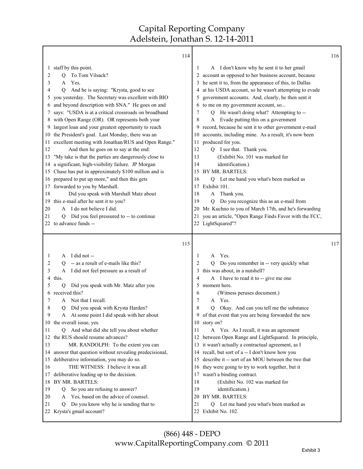|                                                                                                             | 114                                                                                                                                                                                                                                                                                                                                                                                                                                                                                                                                                                                                                                                                                                                                                                                                                                                                                                                                                                                                |                                                                                              |                                                                                                                                                                                                                                                                                                                                                                                                                                                                                                                                                                                                                                                                                                                                                                                                                                                                                                                                             | 116 |
|-------------------------------------------------------------------------------------------------------------|----------------------------------------------------------------------------------------------------------------------------------------------------------------------------------------------------------------------------------------------------------------------------------------------------------------------------------------------------------------------------------------------------------------------------------------------------------------------------------------------------------------------------------------------------------------------------------------------------------------------------------------------------------------------------------------------------------------------------------------------------------------------------------------------------------------------------------------------------------------------------------------------------------------------------------------------------------------------------------------------------|----------------------------------------------------------------------------------------------|---------------------------------------------------------------------------------------------------------------------------------------------------------------------------------------------------------------------------------------------------------------------------------------------------------------------------------------------------------------------------------------------------------------------------------------------------------------------------------------------------------------------------------------------------------------------------------------------------------------------------------------------------------------------------------------------------------------------------------------------------------------------------------------------------------------------------------------------------------------------------------------------------------------------------------------------|-----|
| $\mathbf{I}$<br>2<br>3<br>4<br>5<br>6<br>11<br>12<br>13<br>18<br>19<br>20<br>21<br>22.                      | staff by this point.<br>To Tom Vilsack?<br>О<br>A Yes.<br>And he is saying: "Krysta, good to see<br>Q<br>you yesterday. The Secretary was excellent with BIO<br>and beyond description with SNA." He goes on and<br>says: "USDA is at a critical crossroads on broadband<br>8 with Open Range (OR). OR represents both your<br>9 largest loan and your greatest opportunity to reach<br>10 the President's goal. Last Monday, there was an<br>excellent meeting with Jonathan/RUS and Open Range."<br>And then he goes on to say at the end:<br>"My take is that the parties are dangerously close to<br>14 a significant, high-visibility failure. JP Morgan<br>15 Chase has put in approximately \$100 million and is<br>16 prepared to put up more," and then this gets<br>17 forwarded to you by Marshall.<br>Did you speak with Marshall Matz about<br>this e-mail after he sent it to you?<br>A I do not believe I did.<br>Q Did you feel pressured to -- to continue<br>to advance funds -- | $\mathbf{I}$<br>5<br>7<br>8<br>9<br>10<br>11<br>12<br>13<br>14<br>15<br>16<br>18<br>19<br>21 | A I don't know why he sent it to her gmail<br>2 account as opposed to her business account, because<br>3 he sent it to, from the appearance of this, to Dallas<br>4 at his USDA account, so he wasn't attempting to evade<br>government accounts. And, clearly, he then sent it<br>6 to me on my government account, so<br>Q He wasn't doing what? Attempting to --<br>A Evade putting this on a government<br>record, because he sent it to other government e-mail<br>accounts, including mine. As a result, it's now been<br>produced for you.<br>Q I see that. Thank you.<br>(Exhibit No. 101 was marked for<br>identification.)<br>BY MR. BARTELS:<br>Q Let me hand you what's been marked as<br>17 Exhibit 101.<br>A Thank you.<br>Do you recognize this as an e-mail from<br>$\overline{Q}$<br>20 Mr. Kuchno to you of March 17th, and he's forwarding<br>you an article, "Open Range Finds Favor with the FCC,<br>22 LightSquared"? |     |
|                                                                                                             | 115                                                                                                                                                                                                                                                                                                                                                                                                                                                                                                                                                                                                                                                                                                                                                                                                                                                                                                                                                                                                |                                                                                              |                                                                                                                                                                                                                                                                                                                                                                                                                                                                                                                                                                                                                                                                                                                                                                                                                                                                                                                                             | 117 |
| 1<br>2<br>3<br>4<br>5<br>6<br>7<br>8<br>9<br>11<br>12<br>13<br>14<br>15<br>16<br>17<br>18<br>19<br>20<br>21 | A I did not --<br>-- as a result of e-mails like this?<br>Ő<br>A I did not feel pressure as a result of<br>this.<br>Did you speak with Mr. Matz after you<br>Q<br>received this?<br>Not that I recall.<br>A<br>Did you speak with Krysta Harden?<br>Q<br>A At some point I did speak with her about<br>10 the overall issue, yes.<br>Q And what did she tell you about whether<br>the RUS should resume advances?<br>MR. RANDOLPH: To the extent you can<br>answer that question without revealing predecisional,<br>deliberative information, you may do so.<br>THE WITNESS: I believe it was all<br>deliberative leading up to the decision.<br>BY MR. BARTELS:<br>So you are refusing to answer?<br>Q<br>Yes, based on the advice of counsel.<br>A<br>Do you know why he is sending that to<br>Q<br>22 Krysta's gmail account?                                                                                                                                                                  | 1<br>2<br>4<br>5.<br>6<br>7<br>8<br>11<br>12<br>15<br>16<br>17<br>18<br>19<br>21             | Yes.<br>A<br>Do you remember in -- very quickly what<br>О<br>3 this was about, in a nutshell?<br>A I have to read it to -- give me one<br>moment here.<br>(Witness peruses document.)<br>A Yes.<br>Okay. And can you tell me the substance<br>Q<br>9 of that event that you are being forwarded the new<br>10 story on?<br>A Yes. As I recall, it was an agreement<br>between Open Range and LightSquared. In principle,<br>13 it wasn't actually a contractual agreement, as I<br>14 recall, but sort of a -- I don't know how you<br>describe it -- sort of an MOU between the two that<br>they were going to try to work together, but it<br>wasn't a binding contract.<br>(Exhibit No. 102 was marked for<br>identification.)<br>20 BY MR. BARTELS:<br>Q Let me hand you what's been marked as<br>22 Exhibit No. 102.                                                                                                                   |     |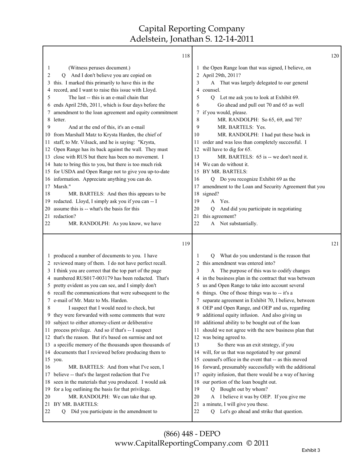|          | 118                                                                                                       |          |                                                                                 | 120 |
|----------|-----------------------------------------------------------------------------------------------------------|----------|---------------------------------------------------------------------------------|-----|
| 1        | (Witness peruses document.)                                                                               |          | 1 the Open Range loan that was signed, I believe, on                            |     |
| 2        | Q And I don't believe you are copied on                                                                   |          | April 29th, 2011?                                                               |     |
| 3        | this. I marked this primarily to have this in the                                                         | 3        | A That was largely delegated to our general                                     |     |
| 4        | record, and I want to raise this issue with Lloyd.                                                        | 4        | counsel.                                                                        |     |
| 5        | The last -- this is an e-mail chain that                                                                  | 5        | Let me ask you to look at Exhibit 69.<br>О                                      |     |
| 6        | ends April 25th, 2011, which is four days before the                                                      | 6        | Go ahead and pull out 70 and 65 as well                                         |     |
| 7        | amendment to the loan agreement and equity commitment                                                     | 7        | if you would, please.                                                           |     |
| 8        | letter.                                                                                                   | 8        | MR. RANDOLPH: So 65, 69, and 70?                                                |     |
| 9        | And at the end of this, it's an e-mail                                                                    | 9        | MR. BARTELS: Yes.                                                               |     |
| 10       | from Marshall Matz to Krysta Harden, the chief of                                                         | 10       | MR. RANDOLPH: I had put these back in                                           |     |
| 11.      | staff, to Mr. Vilsack, and he is saying: "Krysta,                                                         | 11       | order and was less than completely successful. I                                |     |
|          | 12 Open Range has its back against the wall. They must                                                    | 12       | will have to dig for 65.                                                        |     |
|          | 13 close with RUS but there has been no movement. I                                                       | 13       | MR. BARTELS: 65 is -- we don't need it.                                         |     |
|          | 14 hate to bring this to you, but there is too much risk                                                  | 14       | We can do without it.                                                           |     |
|          | 15 for USDA and Open Range not to give you up-to-date                                                     | 15       | BY MR. BARTELS:                                                                 |     |
|          | 16 information. Appreciate anything you can do.                                                           | 16       | Q Do you recognize Exhibit 69 as the                                            |     |
|          | 17 Marsh."                                                                                                | 17       | amendment to the Loan and Security Agreement that you                           |     |
| 18       | MR. BARTELS: And then this appears to be                                                                  |          | 18 signed?                                                                      |     |
| 19       | redacted. Lloyd, I simply ask you if you can -- I                                                         | 19       | A Yes.                                                                          |     |
| 20       | assume this is -- what's the basis for this                                                               | 20       | And did you participate in negotiating<br>0                                     |     |
|          | 21 redaction?                                                                                             |          | 21 this agreement?                                                              |     |
| 22       | MR. RANDOLPH: As you know, we have                                                                        | 22       | A Not substantially.                                                            |     |
|          |                                                                                                           |          |                                                                                 |     |
|          | 119                                                                                                       |          |                                                                                 | 121 |
|          |                                                                                                           | 1        |                                                                                 |     |
|          | 1 produced a number of documents to you. I have<br>2 reviewed many of them. I do not have perfect recall. | 2        | Q What do you understand is the reason that<br>this amendment was entered into? |     |
|          | 3 I think you are correct that the top part of the page                                                   | 3        | A The purpose of this was to codify changes                                     |     |
| 4        | numbered RUS017-003179 has been redacted. That's                                                          |          | 4 in the business plan in the contract that was between                         |     |
| 5        | pretty evident as you can see, and I simply don't                                                         | 5        | us and Open Range to take into account several                                  |     |
|          | 6 recall the communications that were subsequent to the                                                   |          | 6 things. One of those things was to -- it's a                                  |     |
| 7        | e-mail of Mr. Matz to Ms. Harden.                                                                         | 7        | separate agreement in Exhibit 70, I believe, between                            |     |
| 8        | I suspect that I would need to check, but                                                                 |          | 8 OEP and Open Range, and OEP and us, regarding                                 |     |
| 9        | they were forwarded with some comments that were                                                          |          | 9 additional equity infusion. And also giving us                                |     |
|          | 10 subject to either attorney-client or deliberative                                                      |          | 10 additional ability to be bought out of the loan                              |     |
| 11       | process privilege. And so if that's -- I suspect                                                          | 11       | should we not agree with the new business plan that                             |     |
|          | 12 that's the reason. But it's based on surmise and not                                                   | 12       | was being agreed to.                                                            |     |
| 13       | a specific memory of the thousands upon thousands of                                                      | 13       | So there was an exit strategy, if you                                           |     |
| 14       | documents that I reviewed before producing them to                                                        | 14       | will, for us that was negotiated by our general                                 |     |
| 15       | you.                                                                                                      | 15       | counsel's office in the event that -- as this moved                             |     |
| 16       | MR. BARTELS: And from what I've seen, I                                                                   | 16       | forward, presumably successfully with the additional                            |     |
| 17       | believe -- that's the largest redaction that I've                                                         | 17       | equity infusion, that there would be a way of having                            |     |
| 18       | seen in the materials that you produced. I would ask                                                      | 18       | our portion of the loan bought out.                                             |     |
| 19       | for a log outlining the basis for that privilege.                                                         | 19       | Bought out by whom?<br>$\overline{Q}$                                           |     |
| 20       | MR. RANDOLPH: We can take that up.                                                                        | 20       | I believe it was by OEP. If you give me<br>A                                    |     |
| 21<br>22 | BY MR. BARTELS:<br>Q Did you participate in the amendment to                                              | 21<br>22 | a minute, I will give you these.<br>Q Let's go ahead and strike that question.  |     |